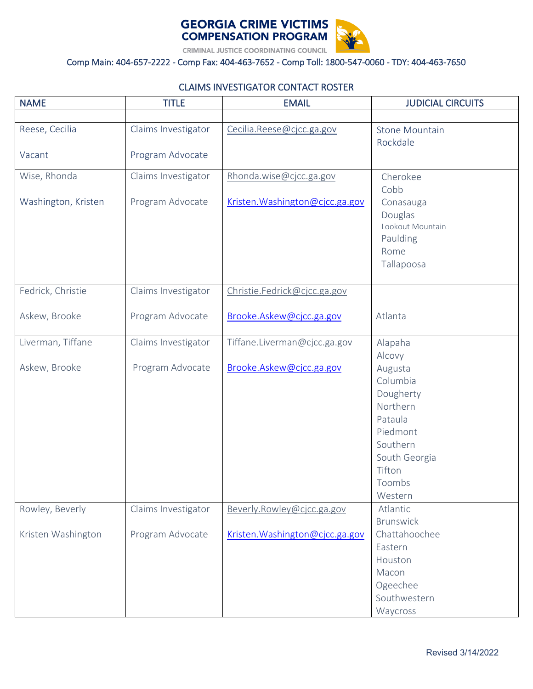



## Comp Main: 404-657-2222 - Comp Fax: 404-463-7652 - Comp Toll: 1800-547-0060 - TDY: 404-463-7650

## CLAIMS INVESTIGATOR CONTACT ROSTER

| <b>NAME</b>         | <b>TITLE</b>        | <b>EMAIL</b>                    | <b>JUDICIAL CIRCUITS</b> |
|---------------------|---------------------|---------------------------------|--------------------------|
|                     |                     |                                 |                          |
| Reese, Cecilia      | Claims Investigator | Cecilia.Reese@cjcc.ga.gov       | <b>Stone Mountain</b>    |
|                     |                     |                                 | Rockdale                 |
| Vacant              | Program Advocate    |                                 |                          |
| Wise, Rhonda        | Claims Investigator | Rhonda.wise@cjcc.ga.gov         | Cherokee                 |
|                     |                     |                                 | Cobb                     |
| Washington, Kristen | Program Advocate    | Kristen. Washington@cjcc.ga.gov | Conasauga                |
|                     |                     |                                 | Douglas                  |
|                     |                     |                                 | Lookout Mountain         |
|                     |                     |                                 | Paulding                 |
|                     |                     |                                 | Rome                     |
|                     |                     |                                 | Tallapoosa               |
| Fedrick, Christie   | Claims Investigator | Christie.Fedrick@cjcc.ga.gov    |                          |
|                     |                     |                                 |                          |
| Askew, Brooke       | Program Advocate    | Brooke.Askew@cjcc.ga.gov        | Atlanta                  |
|                     |                     |                                 |                          |
| Liverman, Tiffane   | Claims Investigator | Tiffane.Liverman@cjcc.ga.gov    | Alapaha                  |
| Askew, Brooke       | Program Advocate    |                                 | Alcovy                   |
|                     |                     | Brooke.Askew@cjcc.ga.gov        | Augusta<br>Columbia      |
|                     |                     |                                 | Dougherty                |
|                     |                     |                                 | Northern                 |
|                     |                     |                                 | Pataula                  |
|                     |                     |                                 | Piedmont                 |
|                     |                     |                                 | Southern                 |
|                     |                     |                                 | South Georgia            |
|                     |                     |                                 | Tifton                   |
|                     |                     |                                 | Toombs                   |
|                     |                     |                                 | Western                  |
| Rowley, Beverly     | Claims Investigator | Beverly.Rowley@cjcc.ga.gov      | Atlantic                 |
|                     |                     |                                 | <b>Brunswick</b>         |
| Kristen Washington  | Program Advocate    | Kristen. Washington@cjcc.ga.gov | Chattahoochee            |
|                     |                     |                                 | Eastern                  |
|                     |                     |                                 | Houston                  |
|                     |                     |                                 | Macon                    |
|                     |                     |                                 | Ogeechee                 |
|                     |                     |                                 | Southwestern             |
|                     |                     |                                 | Waycross                 |